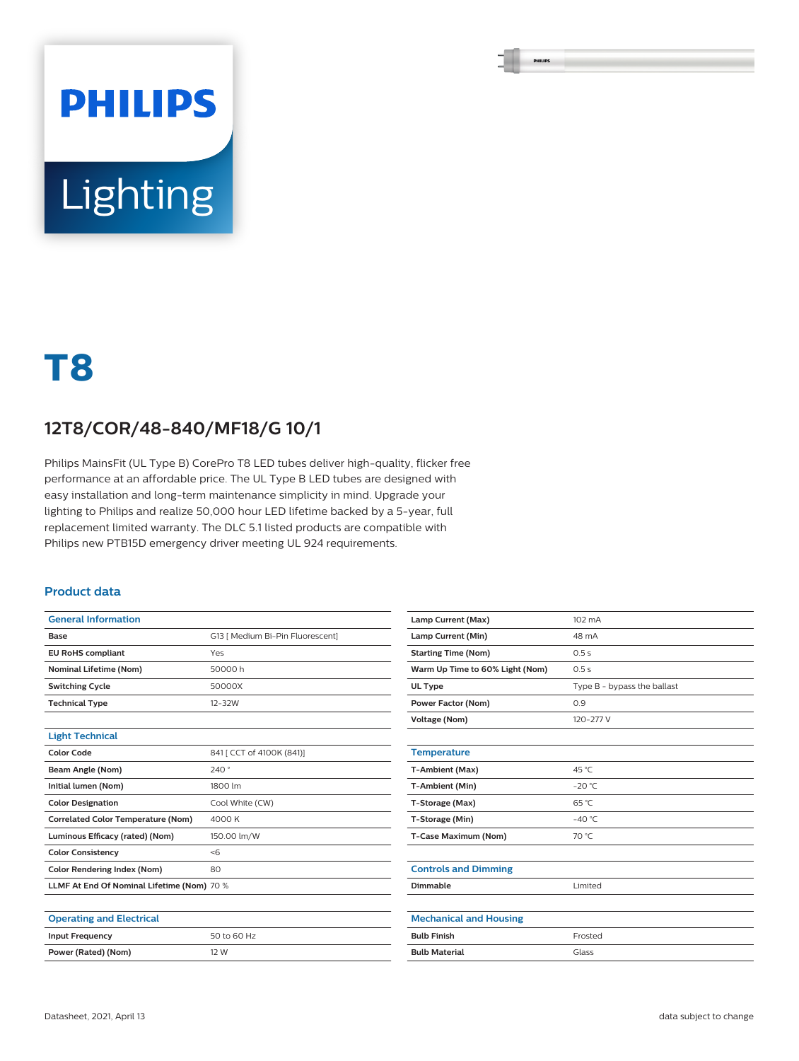# **PHILIPS** Lighting

## **T8**

### **12T8/COR/48-840/MF18/G 10/1**

Philips MainsFit (UL Type B) CorePro T8 LED tubes deliver high-quality, flicker free performance at an affordable price. The UL Type B LED tubes are designed with easy installation and long-term maintenance simplicity in mind. Upgrade your lighting to Philips and realize 50,000 hour LED lifetime backed by a 5-year, full replacement limited warranty. The DLC 5.1 listed products are compatible with Philips new PTB15D emergency driver meeting UL 924 requirements.

#### **Product data**

| <b>General Information</b>                 |                                  |
|--------------------------------------------|----------------------------------|
| Base                                       | G13   Medium Bi-Pin Fluorescent] |
| <b>EU RoHS compliant</b>                   | Yes                              |
| <b>Nominal Lifetime (Nom)</b>              | 50000 h                          |
| <b>Switching Cycle</b>                     | 50000X                           |
| <b>Technical Type</b>                      | $12 - 32W$                       |
|                                            |                                  |
| <b>Light Technical</b>                     |                                  |
| <b>Color Code</b>                          | 841 [ CCT of 4100K (841)]        |
| Beam Angle (Nom)                           | 240°                             |
| Initial lumen (Nom)                        | 1800 lm                          |
| <b>Color Designation</b>                   | Cool White (CW)                  |
| <b>Correlated Color Temperature (Nom)</b>  | 4000K                            |
| Luminous Efficacy (rated) (Nom)            | 150.00 lm/W                      |
| <b>Color Consistency</b>                   | <                                |
| Color Rendering Index (Nom)                | 80                               |
| LLMF At End Of Nominal Lifetime (Nom) 70 % |                                  |
|                                            |                                  |
| <b>Operating and Electrical</b>            |                                  |
| <b>Input Frequency</b>                     | 50 to 60 Hz                      |
| Power (Rated) (Nom)                        | 12 W                             |

| Lamp Current (Max)              | 102 mA                      |
|---------------------------------|-----------------------------|
| Lamp Current (Min)              | 48 mA                       |
| <b>Starting Time (Nom)</b>      | 0.5s                        |
| Warm Up Time to 60% Light (Nom) | 0.5s                        |
| UL Type                         | Type B - bypass the ballast |
| Power Factor (Nom)              | 0.9                         |
| Voltage (Nom)                   | 120-277 V                   |
|                                 |                             |
| <b>Temperature</b>              |                             |
| T-Ambient (Max)                 | 45 °C                       |
| T-Ambient (Min)                 | $-20 °C$                    |
| T-Storage (Max)                 | 65 °C                       |
| T-Storage (Min)                 | $-40^{\circ}$ C             |
| T-Case Maximum (Nom)            | 70 °C                       |
|                                 |                             |
| <b>Controls and Dimming</b>     |                             |
| Dimmable                        | Limited                     |
|                                 |                             |
| <b>Mechanical and Housing</b>   |                             |
| <b>Bulb Finish</b>              | Frosted                     |
| <b>Bulb Material</b>            | Glass                       |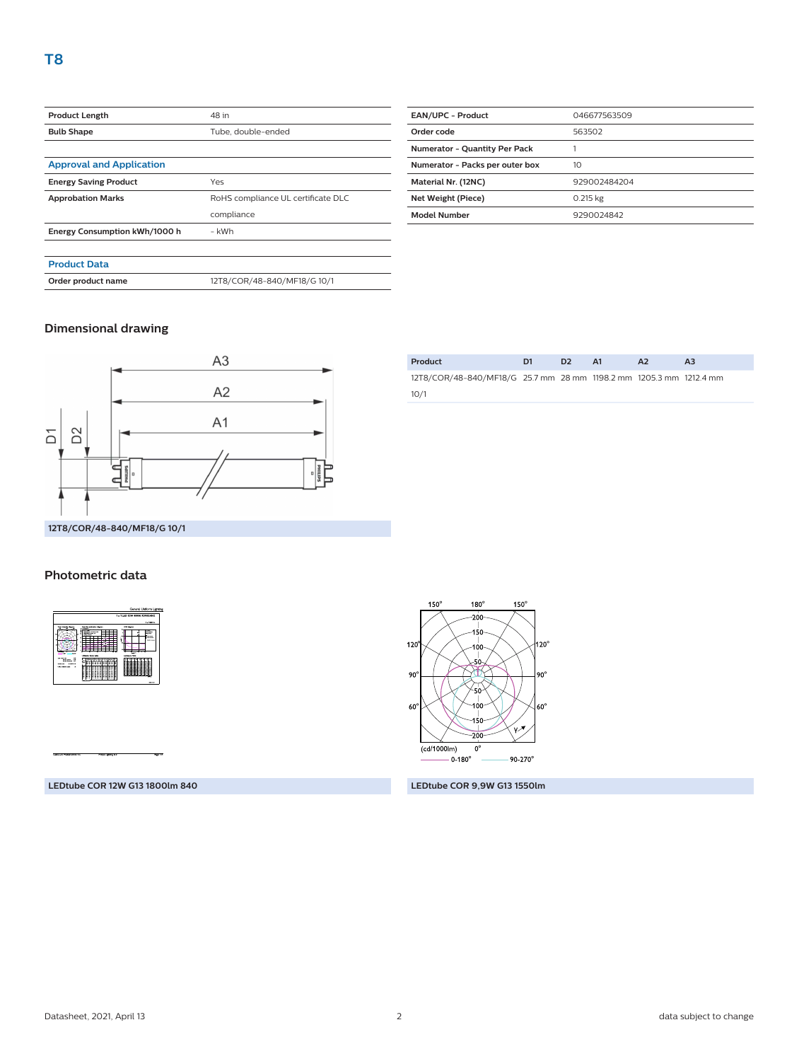| <b>Product Length</b>           | 48 in                              |  |
|---------------------------------|------------------------------------|--|
| <b>Bulb Shape</b>               | Tube, double-ended                 |  |
|                                 |                                    |  |
| <b>Approval and Application</b> |                                    |  |
| <b>Energy Saving Product</b>    | Yes                                |  |
| <b>Approbation Marks</b>        | RoHS compliance UL certificate DLC |  |
|                                 | compliance                         |  |
| Energy Consumption kWh/1000 h   | - kWh                              |  |
|                                 |                                    |  |
| <b>Product Data</b>             |                                    |  |
| Order product name              | 12T8/COR/48-840/MF18/G 10/1        |  |
|                                 |                                    |  |

| <b>EAN/UPC - Product</b>             | 046677563509 |
|--------------------------------------|--------------|
| Order code                           | 563502       |
| <b>Numerator - Quantity Per Pack</b> |              |
| Numerator - Packs per outer box      | 10           |
| Material Nr. (12NC)                  | 929002484204 |
| Net Weight (Piece)                   | $0.215$ kg   |
| <b>Model Number</b>                  | 9290024842   |
|                                      |              |

#### **Dimensional drawing**



| Product                                                            |  | $\mathbf{A}$ 1 |  |  |
|--------------------------------------------------------------------|--|----------------|--|--|
| 12T8/COR/48-840/MF18/G 25.7 mm 28 mm 1198.2 mm 1205.3 mm 1212.4 mm |  |                |  |  |
| 10/1                                                               |  |                |  |  |
|                                                                    |  |                |  |  |

#### **Photometric data**

|                                                                                                    |                                                                       | 1 x TLED 12W 4000K 9299314542 |
|----------------------------------------------------------------------------------------------------|-----------------------------------------------------------------------|-------------------------------|
|                                                                                                    |                                                                       | 1 x 1900 to:                  |
|                                                                                                    | <b>Custom extensive discrimit</b><br>---                              | USK-topset                    |
|                                                                                                    | $\overline{\phantom{a}}$<br><b>Carl 10 Fd Fd</b><br><b>CONTRACTOR</b> | --<br>a is forest<br>$\sim$   |
|                                                                                                    |                                                                       | --                            |
|                                                                                                    |                                                                       | <b>SALES</b>                  |
|                                                                                                    |                                                                       |                               |
|                                                                                                    |                                                                       |                               |
| <b>A</b>                                                                                           | <b><i><u>Elizabeth Schwarth</u></i></b>                               | Ŧ.                            |
| $\sim$<br><b>Manager</b><br>- 72                                                                   | a list of a straightful dealer                                        | <b>Lerence Fale</b>           |
| <b>Sellin Avenue</b><br><b>Milk Barbert Art</b><br><b>Northern Street</b><br><b><i>SERVICE</i></b> | ↽<br>---<br>.                                                         |                               |
| When model they                                                                                    |                                                                       |                               |
|                                                                                                    | ×<br>z<br>в<br>z                                                      |                               |
|                                                                                                    | ÷<br>c<br>⋍<br>Ξ<br>c<br>÷<br>a                                       |                               |
|                                                                                                    | 222222<br>ΞB                                                          |                               |



**LEDtube COR 12W G13 1800lm 840 LEDtube COR 9,9W G13 1550lm**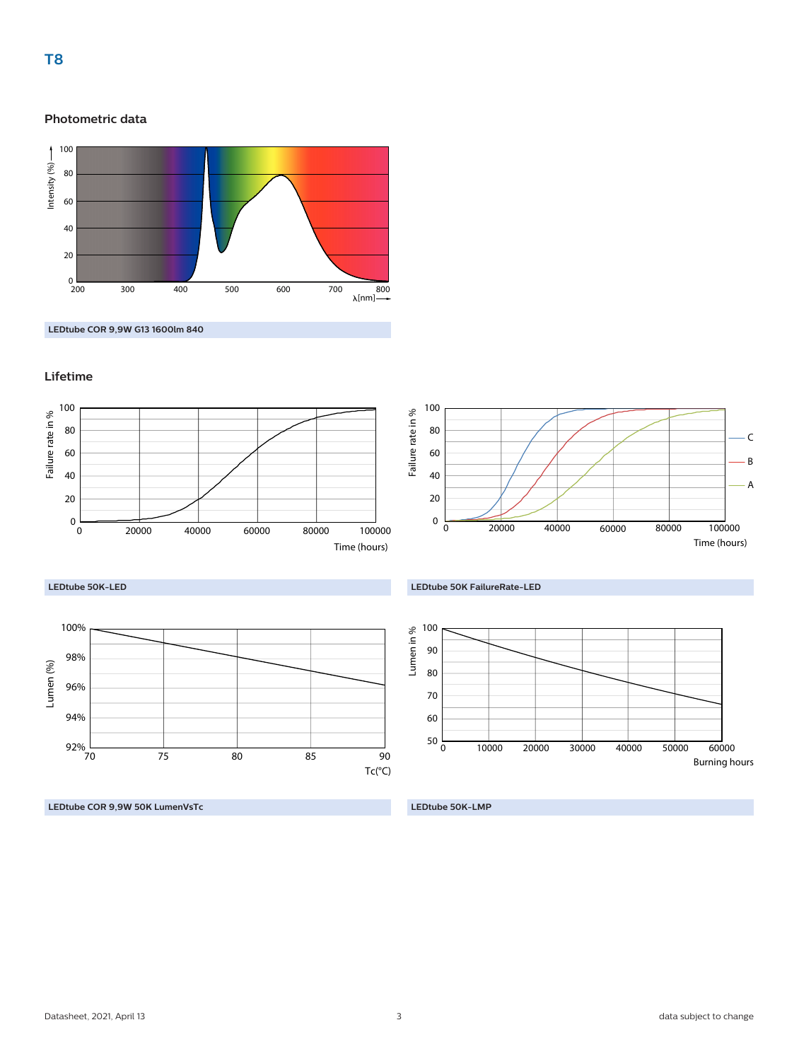#### **Photometric data**



**LEDtube COR 9,9W G13 1600lm 840**

#### **Lifetime**